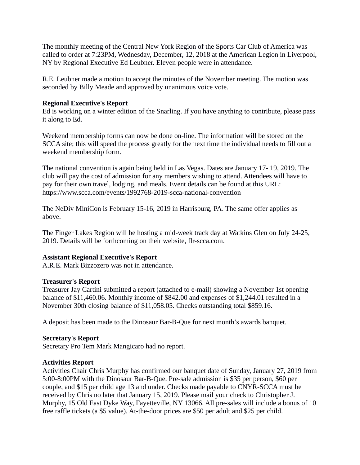The monthly meeting of the Central New York Region of the Sports Car Club of America was called to order at 7:23PM, Wednesday, December, 12, 2018 at the American Legion in Liverpool, NY by Regional Executive Ed Leubner. Eleven people were in attendance.

R.E. Leubner made a motion to accept the minutes of the November meeting. The motion was seconded by Billy Meade and approved by unanimous voice vote.

### **Regional Executive's Report**

Ed is working on a winter edition of the Snarling. If you have anything to contribute, please pass it along to Ed.

Weekend membership forms can now be done on-line. The information will be stored on the SCCA site; this will speed the process greatly for the next time the individual needs to fill out a weekend membership form.

The national convention is again being held in Las Vegas. Dates are January 17- 19, 2019. The club will pay the cost of admission for any members wishing to attend. Attendees will have to pay for their own travel, lodging, and meals. Event details can be found at this URL: https://www.scca.com/events/1992768-2019-scca-national-convention

The NeDiv MiniCon is February 15-16, 2019 in Harrisburg, PA. The same offer applies as above.

The Finger Lakes Region will be hosting a mid-week track day at Watkins Glen on July 24-25, 2019. Details will be forthcoming on their website, flr-scca.com.

### **Assistant Regional Executive's Report**

A.R.E. Mark Bizzozero was not in attendance.

### **Treasurer's Report**

Treasurer Jay Cartini submitted a report (attached to e-mail) showing a November 1st opening balance of \$11,460.06. Monthly income of \$842.00 and expenses of \$1,244.01 resulted in a November 30th closing balance of \$11,058.05. Checks outstanding total \$859.16.

A deposit has been made to the Dinosaur Bar-B-Que for next month's awards banquet.

### **Secretary's Report**

Secretary Pro Tem Mark Mangicaro had no report.

# **Activities Report**

Activities Chair Chris Murphy has confirmed our banquet date of Sunday, January 27, 2019 from 5:00-8:00PM with the Dinosaur Bar-B-Que. Pre-sale admission is \$35 per person, \$60 per couple, and \$15 per child age 13 and under. Checks made payable to CNYR-SCCA must be received by Chris no later that January 15, 2019. Please mail your check to Christopher J. Murphy, 15 Old East Dyke Way, Fayetteville, NY 13066. All pre-sales will include a bonus of 10 free raffle tickets (a \$5 value). At-the-door prices are \$50 per adult and \$25 per child.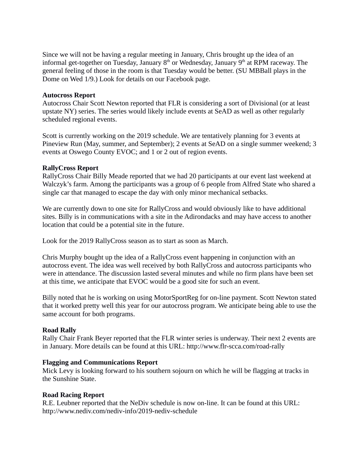Since we will not be having a regular meeting in January, Chris brought up the idea of an informal get-together on Tuesday, January  $8<sup>th</sup>$  or Wednesday, January  $9<sup>th</sup>$  at RPM raceway. The general feeling of those in the room is that Tuesday would be better. (SU MBBall plays in the Dome on Wed 1/9.) Look for details on our Facebook page.

### **Autocross Report**

Autocross Chair Scott Newton reported that FLR is considering a sort of Divisional (or at least upstate NY) series. The series would likely include events at SeAD as well as other regularly scheduled regional events.

Scott is currently working on the 2019 schedule. We are tentatively planning for 3 events at Pineview Run (May, summer, and September); 2 events at SeAD on a single summer weekend; 3 events at Oswego County EVOC; and 1 or 2 out of region events.

### **RallyCross Report**

RallyCross Chair Billy Meade reported that we had 20 participants at our event last weekend at Walczyk's farm. Among the participants was a group of 6 people from Alfred State who shared a single car that managed to escape the day with only minor mechanical setbacks.

We are currently down to one site for RallyCross and would obviously like to have additional sites. Billy is in communications with a site in the Adirondacks and may have access to another location that could be a potential site in the future.

Look for the 2019 RallyCross season as to start as soon as March.

Chris Murphy bought up the idea of a RallyCross event happening in conjunction with an autocross event. The idea was well received by both RallyCross and autocross participants who were in attendance. The discussion lasted several minutes and while no firm plans have been set at this time, we anticipate that EVOC would be a good site for such an event.

Billy noted that he is working on using MotorSportReg for on-line payment. Scott Newton stated that it worked pretty well this year for our autocross program. We anticipate being able to use the same account for both programs.

# **Road Rally**

Rally Chair Frank Beyer reported that the FLR winter series is underway. Their next 2 events are in January. More details can be found at this URL: http://www.flr-scca.com/road-rally

### **Flagging and Communications Report**

Mick Levy is looking forward to his southern sojourn on which he will be flagging at tracks in the Sunshine State.

# **Road Racing Report**

R.E. Leubner reported that the NeDiv schedule is now on-line. It can be found at this URL: http://www.nediv.com/nediv-info/2019-nediv-schedule